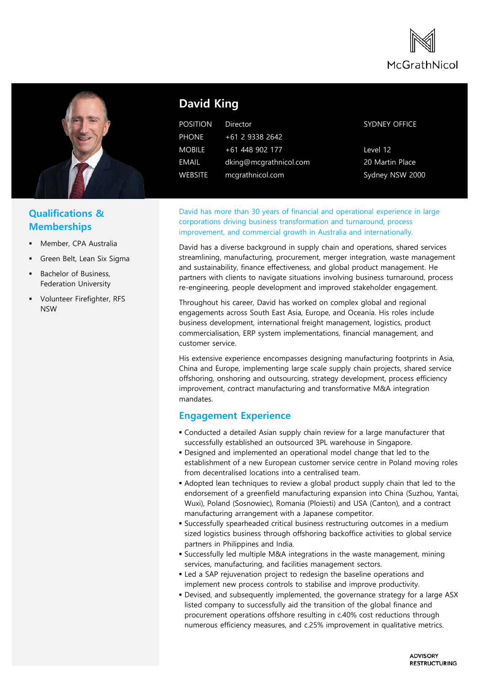



## **Qualifications & Memberships**

- Member, CPA Australia
- Green Belt, Lean Six Sigma
- Bachelor of Business, Federation University
- **•** Volunteer Firefighter, RFS NSW

# **David King**

| <b>POSITION</b> | Director               |
|-----------------|------------------------|
| <b>PHONE</b>    | +61 2 9338 2642        |
| <b>MOBILE</b>   | +61 448 902 177        |
| EMAIL           | dking@mcgrathnicol.com |
| <b>WEBSITE</b>  | mcgrathnicol.com       |

#### SYDNEY OFFICE

Level 12 20 Martin Place Sydney NSW 2000

David has more than 30 years of financial and operational experience in large corporations driving business transformation and turnaround, process improvement, and commercial growth in Australia and internationally.

David has a diverse background in supply chain and operations, shared services streamlining, manufacturing, procurement, merger integration, waste management and sustainability, finance effectiveness, and global product management. He partners with clients to navigate situations involving business turnaround, process re-engineering, people development and improved stakeholder engagement.

Throughout his career, David has worked on complex global and regional engagements across South East Asia, Europe, and Oceania. His roles include business development, international freight management, logistics, product commercialisation, ERP system implementations, financial management, and customer service.

His extensive experience encompasses designing manufacturing footprints in Asia, China and Europe, implementing large scale supply chain projects, shared service offshoring, onshoring and outsourcing, strategy development, process efficiency improvement, contract manufacturing and transformative M&A integration mandates.

### **Engagement Experience**

- Conducted a detailed Asian supply chain review for a large manufacturer that successfully established an outsourced 3PL warehouse in Singapore.
- Designed and implemented an operational model change that led to the establishment of a new European customer service centre in Poland moving roles from decentralised locations into a centralised team.
- Adopted lean techniques to review a global product supply chain that led to the endorsement of a greenfield manufacturing expansion into China (Suzhou, Yantai, Wuxi), Poland (Sosnowiec), Romania (Ploiesti) and USA (Canton), and a contract manufacturing arrangement with a Japanese competitor.
- Successfully spearheaded critical business restructuring outcomes in a medium sized logistics business through offshoring backoffice activities to global service partners in Philippines and India.
- Successfully led multiple M&A integrations in the waste management, mining services, manufacturing, and facilities management sectors.
- Led a SAP rejuvenation project to redesign the baseline operations and implement new process controls to stabilise and improve productivity.
- Devised, and subsequently implemented, the governance strategy for a large ASX listed company to successfully aid the transition of the global finance and procurement operations offshore resulting in c.40% cost reductions through numerous efficiency measures, and c.25% improvement in qualitative metrics.